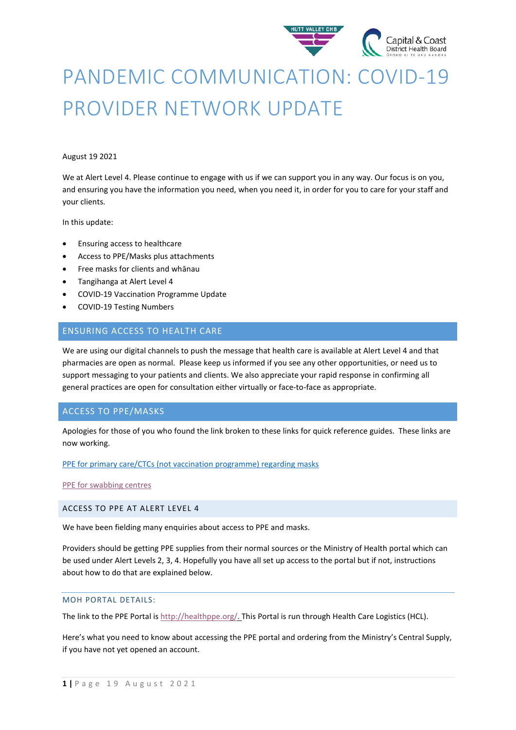

# PANDEMIC COMMUNICATION: COVID-19 PROVIDER NETWORK UPDATE

#### August 19 2021

We at Alert Level 4. Please continue to engage with us if we can support you in any way. Our focus is on you, and ensuring you have the information you need, when you need it, in order for you to care for your staff and your clients.

In this update:

- Ensuring access to healthcare
- Access to PPE/Masks plus attachments
- Free masks for clients and whānau
- Tangihanga at Alert Level 4
- COVID-19 Vaccination Programme Update
- COVID-19 Testing Numbers

# ENSURING ACCESS TO HEALTH CARE

We are using our digital channels to push the message that health care is available at Alert Level 4 and that pharmacies are open as normal. Please keep us informed if you see any other opportunities, or need us to support messaging to your patients and clients. We also appreciate your rapid response in confirming all general practices are open for consultation either virtually or face-to-face as appropriate.

# ACCESS TO PPE/MASKS

Apologies for those of you who found the link broken to these links for quick reference guides. These links are now working.

#### [PPE for primary care/CTCs \(not vaccination programme\) regarding masks](https://www.health.govt.nz/system/files/documents/pages/primary_care_quick_reference_guide_18_aug_21.pdf)

[PPE for swabbing centres](https://www.health.govt.nz/system/files/documents/pages/hp7716-ppe-for-taking-covid-19-naso-oropharyngeal-swabs-12aug2021.pdf)

## ACCESS TO PPE AT ALERT LEVEL 4

We have been fielding many enquiries about access to PPE and masks.

Providers should be getting PPE supplies from their normal sources or the Ministry of Health portal which can be used under Alert Levels 2, 3, 4. Hopefully you have all set up access to the portal but if not, instructions about how to do that are explained below.

#### MOH PORTAL DETAILS:

The link to the PPE Portal i[s http://healthppe.org/.](https://urldefense.com/v3/__http:/scanmail.trustwave.com/?c=15517&d=ieCU3xJFxfj1BDUTl9d8Ef7tUXTY4oVoig7CBHqVcA&u=http*3a*2f*2fhealthppe*2eorg*2f__;JSUlJSU!!A3teau8g8Q!EO3i6PrWv6AKv3md655Srlht6LS7qxpzK5JUrCheuFucrGcRBfxqibdi46nfIw3avLwBAQ$) This Portal is run through Health Care Logistics (HCL).

Here's what you need to know about accessing the PPE portal and ordering from the Ministry's Central Supply, if you have not yet opened an account.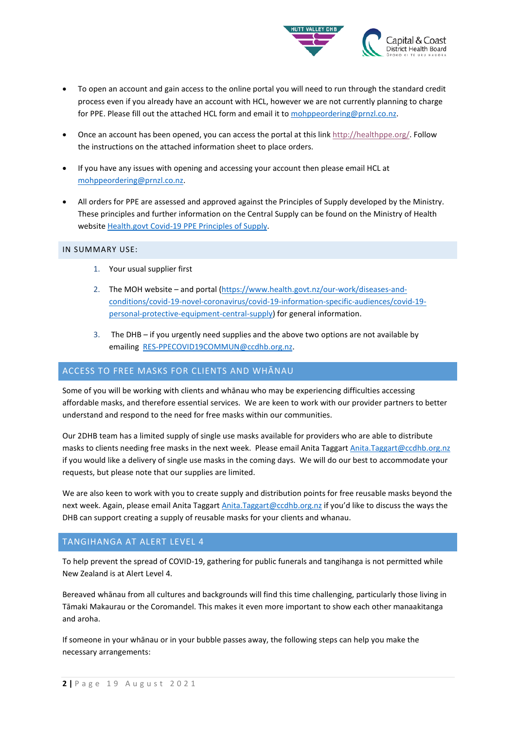

- To open an account and gain access to the online portal you will need to run through the standard credit process even if you already have an account with HCL, however we are not currently planning to charge for PPE. Please fill out the attached HCL form and email it to [mohppeordering@prnzl.co.nz.](mailto:mohppeordering@prnzl.co.nz)
- Once an account has been opened, you can access the portal at this link [http://healthppe.org/.](https://urldefense.com/v3/__http:/scanmail.trustwave.com/?c=15517&d=ieCU3xJFxfj1BDUTl9d8Ef7tUXTY4oVoig7CBHqVcA&u=http*3a*2f*2fhealthppe*2eorg*2f__;JSUlJSU!!A3teau8g8Q!EO3i6PrWv6AKv3md655Srlht6LS7qxpzK5JUrCheuFucrGcRBfxqibdi46nfIw3avLwBAQ$) Follow the instructions on the attached information sheet to place orders.
- If you have any issues with opening and accessing your account then please email HCL at [mohppeordering@prnzl.co.nz.](mailto:mohppeordering@prnzl.co.nz)
- All orders for PPE are assessed and approved against the Principles of Supply developed by the Ministry. These principles and further information on the Central Supply can be found on the Ministry of Health website Health.govt [Covid-19 PPE Principles of Supply.](https://urldefense.com/v3/__https:/www.health.govt.nz/our-work/diseases-and-conditions/covid-19-novel-coronavirus/covid-19-information-specific-audiences/covid-19-personal-protective-equipment-workers__;!!A3teau8g8Q!EO3i6PrWv6AKv3md655Srlht6LS7qxpzK5JUrCheuFucrGcRBfxqibdi46nfIw3Ly85VFw$)

#### IN SUMMARY USE:

- 1. Your usual supplier first
- 2. The MOH website and portal [\(https://www.health.govt.nz/our-work/diseases-and](https://www.health.govt.nz/our-work/diseases-and-conditions/covid-19-novel-coronavirus/covid-19-information-specific-audiences/covid-19-personal-protective-equipment-central-supply)[conditions/covid-19-novel-coronavirus/covid-19-information-specific-audiences/covid-19](https://www.health.govt.nz/our-work/diseases-and-conditions/covid-19-novel-coronavirus/covid-19-information-specific-audiences/covid-19-personal-protective-equipment-central-supply) [personal-protective-equipment-central-supply\)](https://www.health.govt.nz/our-work/diseases-and-conditions/covid-19-novel-coronavirus/covid-19-information-specific-audiences/covid-19-personal-protective-equipment-central-supply) for general information.
- 3. The DHB if you urgently need supplies and the above two options are not available by emailing [RES-PPECOVID19COMMUN@ccdhb.org.nz.](mailto:RES-PPECOVID19COMMUN@ccdhb.org.nz)

## ACCESS TO FREE MASKS FOR CLIENTS AND WHĀNAU

Some of you will be working with clients and whānau who may be experiencing difficulties accessing affordable masks, and therefore essential services. We are keen to work with our provider partners to better understand and respond to the need for free masks within our communities.

Our 2DHB team has a limited supply of single use masks available for providers who are able to distribute masks to clients needing free masks in the next week. Please email Anita Taggart [Anita.Taggart@ccdhb.org.nz](mailto:Anita.Taggart@ccdhb.org.nz) if you would like a delivery of single use masks in the coming days. We will do our best to accommodate your requests, but please note that our supplies are limited.

We are also keen to work with you to create supply and distribution points for free reusable masks beyond the next week. Again, please email Anita Taggart **Anita.Taggart@ccdhb.org.nz** if you'd like to discuss the ways the DHB can support creating a supply of reusable masks for your clients and whanau.

# TANGIHANGA AT ALERT LEVEL 4

To help prevent the spread of COVID-19, gathering for public funerals and tangihanga is not permitted while New Zealand is at Alert Level 4.

Bereaved whānau from all cultures and backgrounds will find this time challenging, particularly those living in Tāmaki Makaurau or the Coromandel. This makes it even more important to show each other manaakitanga and aroha.

If someone in your whānau or in your bubble passes away, the following steps can help you make the necessary arrangements: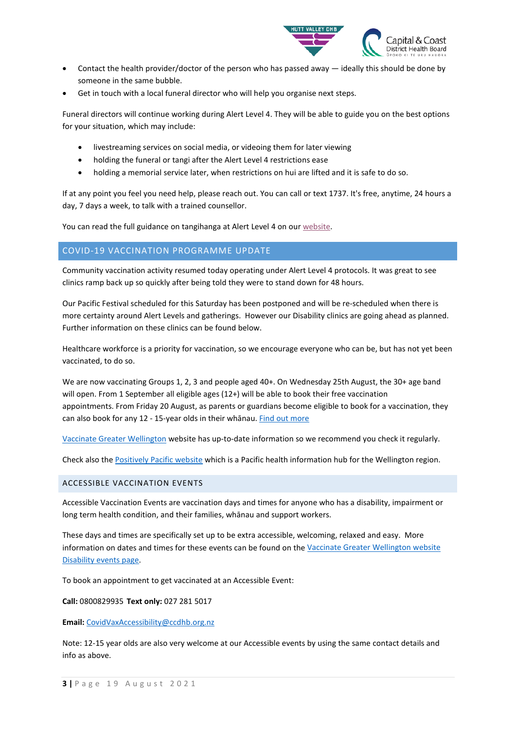

- Contact the health provider/doctor of the person who has passed away  $-$  ideally this should be done by someone in the same bubble.
- Get in touch with a local funeral director who will help you organise next steps.

Funeral directors will continue working during Alert Level 4. They will be able to guide you on the best options for your situation, which may include:

- livestreaming services on social media, or videoing them for later viewing
- holding the funeral or tangi after the Alert Level 4 restrictions ease
- holding a memorial service later, when restrictions on hui are lifted and it is safe to do so.

If at any point you feel you need help, please reach out. You can call or text 1737. It's free, anytime, 24 hours a day, 7 days a week, to talk with a trained counsellor.

You can read the full guidance on tangihanga at Alert Level 4 on ou[r website.](https://urldefense.com/v3/__https:/www.health.govt.nz/our-work/diseases-and-conditions/covid-19-novel-coronavirus/covid-19-information-specific-audiences/covid-19-deaths-funerals-and-tangihanga/guidance-alert-level-4-deaths-funerals-and-tangihanga__;!!A3teau8g8Q!BI69kLQvP9o0Ae8D-gfKyH5Bf2r3tZs6y3lh_a_MH1CU0Au6E0vLxFuogMWnsneS6iPQ$) 

# COVID-19 VACCINATION PROGRAMME UPDATE

Community vaccination activity resumed today operating under Alert Level 4 protocols. It was great to see clinics ramp back up so quickly after being told they were to stand down for 48 hours.

Our Pacific Festival scheduled for this Saturday has been postponed and will be re-scheduled when there is more certainty around Alert Levels and gatherings. However our Disability clinics are going ahead as planned. Further information on these clinics can be found below.

Healthcare workforce is a priority for vaccination, so we encourage everyone who can be, but has not yet been vaccinated, to do so.

We are now vaccinating Groups 1, 2, 3 and people aged 40+. On Wednesday 25th August, the 30+ age band will open. From 1 September all eligible ages (12+) will be able to book their free vaccination appointments. From Friday 20 August, as parents or guardians become eligible to book for a vaccination, they can also book for any 12 - 15-year olds in their whānau. [Find out more](https://www.health.govt.nz/our-work/diseases-and-conditions/covid-19-novel-coronavirus/covid-19-vaccines/covid-19-getting-vaccine/covid-19-vaccine-rollout)

[Vaccinate Greater Wellington](https://www.rph.org.nz/public-health-topics/vaccinate-greater-wellington/disability-events/) website has up-to-date information so we recommend you check it regularly.

Check also the [Positively Pacific website](https://positivelypacific.org.nz/) which is a Pacific health information hub for the Wellington region.

## ACCESSIBLE VACCINATION EVENTS

Accessible Vaccination Events are vaccination days and times for anyone who has a disability, impairment or long term health condition, and their families, whānau and support workers.

These days and times are specifically set up to be extra accessible, welcoming, relaxed and easy. More information on dates and times for these events can be found on th[e Vaccinate Greater Wellington website](https://www.rph.org.nz/public-health-topics/vaccinate-greater-wellington/disability-events/)  [Disability events page.](https://www.rph.org.nz/public-health-topics/vaccinate-greater-wellington/disability-events/)

To book an appointment to get vaccinated at an Accessible Event:

**Call:** 0800829935 **Text only:** 027 281 5017

**Email:** [CovidVaxAccessibility@ccdhb.org.nz](mailto:CovidVaxAccessibility@ccdhb.org.nz)

Note: 12-15 year olds are also very welcome at our Accessible events by using the same contact details and info as above.